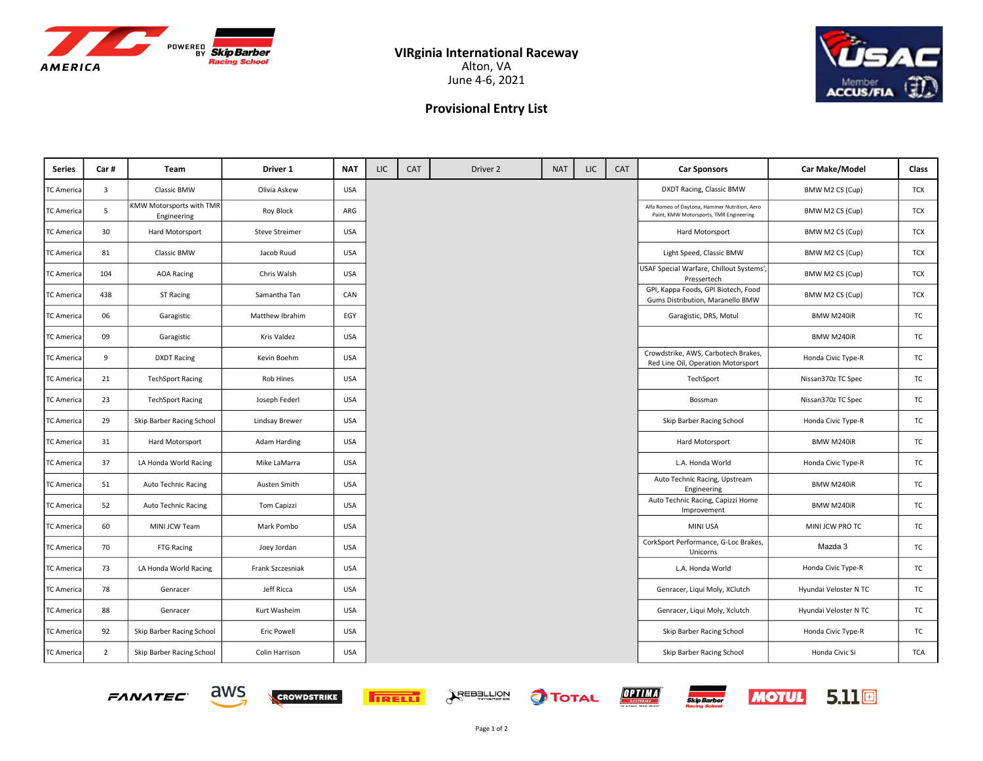



## Provisional Entry List

| Series            | Car#           | <b>Team</b>                             | Driver 1              | <b>NAT</b> | LIC | CAT | Driver 2 | <b>NAT</b> | LIC. | CAT | <b>Car Sponsors</b>                                                                      | Car Make/Model        | Class      |
|-------------------|----------------|-----------------------------------------|-----------------------|------------|-----|-----|----------|------------|------|-----|------------------------------------------------------------------------------------------|-----------------------|------------|
| <b>TC America</b> | 3              | Classic BMW                             | Olivia Askew          | <b>USA</b> |     |     |          |            |      |     | DXDT Racing, Classic BMW                                                                 | BMW M2 CS (Cup)       | <b>TCX</b> |
| <b>TC America</b> | 5              | KMW Motorsports with TMR<br>Engineering | Roy Block             | ARG        |     |     |          |            |      |     | Alfa Romeo of Daytona, Hammer Nutrition, Aero<br>Paint, KMW Motorsports, TMR Engineering | BMW M2 CS (Cup)       | <b>TCX</b> |
| <b>TC America</b> | 30             | Hard Motorsport                         | <b>Steve Streimer</b> | <b>USA</b> |     |     |          |            |      |     | Hard Motorsport                                                                          | BMW M2 CS (Cup)       | <b>TCX</b> |
| <b>TC America</b> | 81             | Classic BMW                             | Jacob Ruud            | <b>USA</b> |     |     |          |            |      |     | Light Speed, Classic BMW                                                                 | BMW M2 CS (Cup)       | <b>TCX</b> |
| TC America        | 104            | <b>AOA Racing</b>                       | Chris Walsh           | <b>USA</b> |     |     |          |            |      |     | USAF Special Warfare, Chillout Systems',<br>Pressertech                                  | BMW M2 CS (Cup)       | <b>TCX</b> |
| <b>TC America</b> | 438            | ST Racing                               | Samantha Tan          | CAN        |     |     |          |            |      |     | GPI, Kappa Foods, GPI Biotech, Food<br>Gums Distribution, Maranello BMW                  | BMW M2 CS (Cup)       | TCX        |
| <b>TC America</b> | 06             | Garagistic                              | Matthew Ibrahim       | EGY        |     |     |          |            |      |     | Garagistic, DRS, Motul                                                                   | BMW M240iR            | TC         |
| TC America        | 09             | Garagistic                              | Kris Valdez           | <b>USA</b> |     |     |          |            |      |     |                                                                                          | BMW M240iR            | TC         |
| <b>TC America</b> | 9              | <b>DXDT Racing</b>                      | Kevin Boehm           | <b>USA</b> |     |     |          |            |      |     | Crowdstrike, AWS, Carbotech Brakes,<br>Red Line Oil, Operation Motorsport                | Honda Civic Type-R    | TC         |
| TC America        | 21             | <b>TechSport Racing</b>                 | Rob Hines             | <b>USA</b> |     |     |          |            |      |     | TechSport                                                                                | Nissan370z TC Spec    | TC         |
| <b>TC America</b> | 23             | <b>TechSport Racing</b>                 | Joseph Federl         | <b>USA</b> |     |     |          |            |      |     | Bossman                                                                                  | Nissan370z TC Spec    | TC         |
| <b>TC America</b> | 29             | Skip Barber Racing School               | Lindsay Brewer        | <b>USA</b> |     |     |          |            |      |     | Skip Barber Racing School                                                                | Honda Civic Type-R    | TC         |
| <b>TC America</b> | 31             | Hard Motorsport                         | Adam Harding          | <b>USA</b> |     |     |          |            |      |     | Hard Motorsport                                                                          | BMW M240iR            | TC         |
| <b>TC America</b> | 37             | LA Honda World Racing                   | Mike LaMarra          | <b>USA</b> |     |     |          |            |      |     | L.A. Honda World                                                                         | Honda Civic Type-R    | TC         |
| <b>TC America</b> | 51             | Auto Technic Racing                     | Austen Smith          | <b>USA</b> |     |     |          |            |      |     | Auto Technic Racing, Upstream<br>Engineering                                             | BMW M240iR            | TC         |
| TC America        | 52             | Auto Technic Racing                     | <b>Tom Capizzi</b>    | <b>USA</b> |     |     |          |            |      |     | Auto Technic Racing, Capizzi Home<br>Improvement                                         | BMW M240iR            | TC         |
| TC America        | 60             | MINI JCW Team                           | Mark Pombo            | <b>USA</b> |     |     |          |            |      |     | MINI USA                                                                                 | MINI JCW PRO TC       | TC         |
| TC America        | 70             | FTG Racing                              | Joey Jordan           | <b>USA</b> |     |     |          |            |      |     | CorkSport Performance, G-Loc Brakes,<br>Unicorns                                         | Mazda 3               | TC         |
| TC America        | 73             | LA Honda World Racing                   | Frank Szczesniak      | <b>USA</b> |     |     |          |            |      |     | L.A. Honda World                                                                         | Honda Civic Type-R    | <b>TC</b>  |
| TC America        | 78             | Genracer                                | Jeff Ricca            | <b>USA</b> |     |     |          |            |      |     | Genracer, Liqui Moly, XClutch                                                            | Hyundai Veloster N TC | TC         |
| <b>TC America</b> | 88             | Genracer                                | Kurt Washeim          | <b>USA</b> |     |     |          |            |      |     | Genracer, Liqui Moly, Xclutch                                                            | Hyundai Veloster N TC | TC         |
| <b>TC America</b> | 92             | Skip Barber Racing School               | Eric Powell           | <b>USA</b> |     |     |          |            |      |     | Skip Barber Racing School                                                                | Honda Civic Type-R    | TC         |
| TC America        | $\overline{2}$ | Skip Barber Racing School               | Colin Harrison        | <b>USA</b> |     |     |          |            |      |     | Skip Barber Racing School                                                                | Honda Civic Si        | <b>TCA</b> |





aws